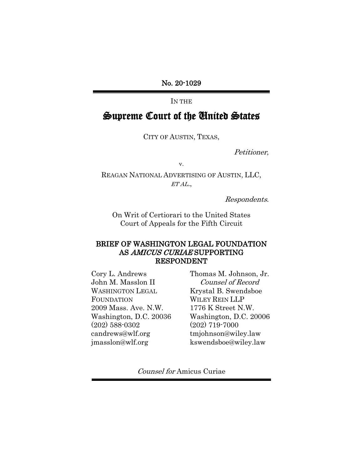No. 20-1029

IN THE

# Supreme Court of the United States

CITY OF AUSTIN, TEXAS,

Petitioner,

v.

REAGAN NATIONAL ADVERTISING OF AUSTIN, LLC, ET AL.,

Respondents.

On Writ of Certiorari to the United States Court of Appeals for the Fifth Circuit

#### BRIEF OF WASHINGTON LEGAL FOUNDATION AS AMICUS CURIAE SUPPORTING RESPONDENT

Cory L. Andrews John M. Masslon II WASHINGTON LEGAL FOUNDATION 2009 Mass. Ave. N.W. Washington, D.C. 20036 (202) 588-0302 candrews@wlf.org jmasslon@wlf.org

Thomas M. Johnson, Jr. Counsel of Record Krystal B. Swendsboe WILEY REIN LLP 1776 K Street N.W. Washington, D.C. 20006 (202) 719-7000 tmjohnson@wiley.law kswendsboe@wiley.law

Counsel for Amicus Curiae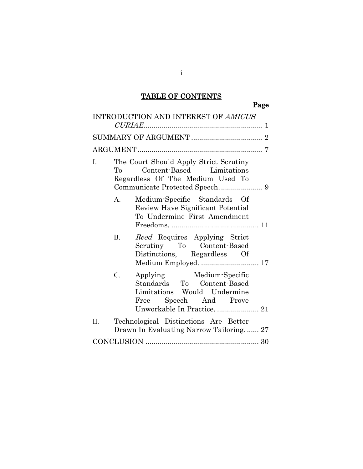# TABLE OF CONTENTS

## Page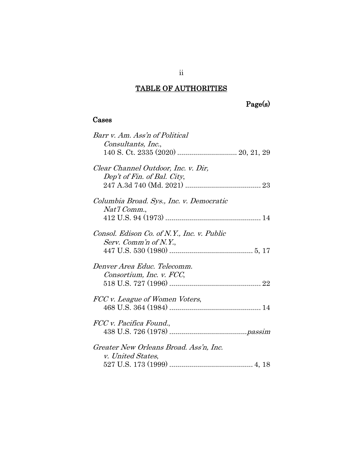## TABLE OF AUTHORITIES

Page(s)

# Cases

| Barr v. Am. Ass'n of Political<br>Consultants, Inc.,                |
|---------------------------------------------------------------------|
| Clear Channel Outdoor, Inc. v. Dir,<br>Dep't of Fin. of Bal. City,  |
| Columbia Broad. Sys., Inc. v. Democratic<br>Nat'l Comm.,            |
| Consol. Edison Co. of N.Y., Inc. v. Public<br>Serv. Comm'n of N.Y., |
| Denver Area Educ. Telecomm.<br>Consortium, Inc. v. FCC,             |
| FCC v. League of Women Voters,                                      |
| FCC v. Pacifica Found.,                                             |
| Greater New Orleans Broad. Ass'n, Inc.<br><i>v. United States,</i>  |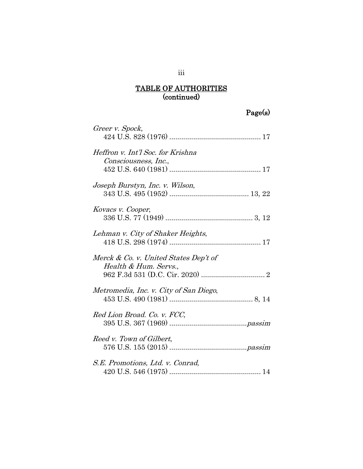# Page(s)

| Greer v. Spock,                                                |
|----------------------------------------------------------------|
| Heffron v. Int'l Soc. for Krishna<br>Consciousness, Inc.,      |
| Joseph Burstyn, Inc. v. Wilson,                                |
| Kovacs v. Cooper,                                              |
| Lehman v. City of Shaker Heights,                              |
| Merck & Co. v. United States Dep't of<br>Health & Hum. Servs., |
| Metromedia, Inc. v. City of San Diego,                         |
| Red Lion Broad. Co. v. FCC,                                    |
| Reed v. Town of Gilbert,                                       |
| S.E. Promotions, Ltd. v. Conrad,                               |

iii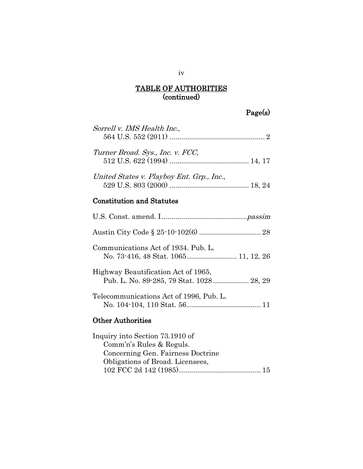# Page(s)

| Sorrell v. IMS Health Inc.,               |  |
|-------------------------------------------|--|
| Turner Broad. Sys., Inc. v. FCC,          |  |
| United States v. Playboy Ent. Grp., Inc., |  |

## Constitution and Statutes

| Communications Act of 1934. Pub. L.     |
|-----------------------------------------|
| Highway Beautification Act of 1965,     |
| Telecommunications Act of 1996, Pub. L. |
| <b>Other Authorities</b>                |
| Inquiry into Section 73.1910 of         |

| <u>hquity mto because to, roro or</u> |  |
|---------------------------------------|--|
| Comm'n's Rules & Reguls.              |  |
| Concerning Gen. Fairness Doctrine     |  |
| Obligations of Broad. Licensees,      |  |
|                                       |  |
|                                       |  |

## iv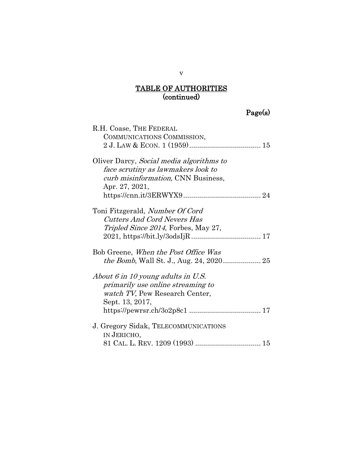# Page(s)

| R.H. Coase, THE FEDERAL                     |
|---------------------------------------------|
| COMMUNICATIONS COMMISSION,                  |
|                                             |
| Oliver Darcy, Social media algorithms to    |
| face scrutiny as lawmakers look to          |
| curb misinformation, CNN Business,          |
| Apr. 27, 2021,                              |
|                                             |
| Toni Fitzgerald, Number Of Cord             |
| Cutters And Cord Nevers Has                 |
| <i>Tripled Since 2014</i> , Forbes, May 27, |
|                                             |
| Bob Greene, When the Post Office Was        |
|                                             |
| About 6 in 10 young adults in U.S.          |
| primarily use online streaming to           |
| <i>watch TV</i> , Pew Research Center,      |
| Sept. 13, 2017,                             |
|                                             |
| J. Gregory Sidak, TELECOMMUNICATIONS        |
| IN JERICHO,                                 |
|                                             |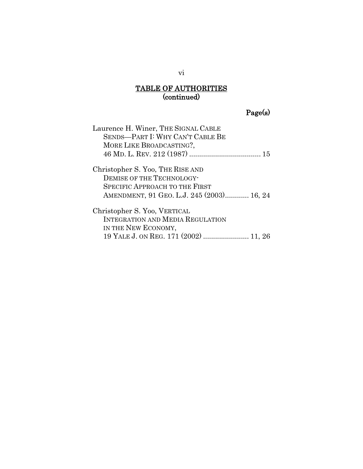# Page(s)

| Laurence H. Winer, THE SIGNAL CABLE<br>SENDS-PART I: WHY CAN'T CABLE BE<br>MORE LIKE BROADCASTING?,                                                 |
|-----------------------------------------------------------------------------------------------------------------------------------------------------|
| Christopher S. Yoo, THE RISE AND<br>DEMISE OF THE TECHNOLOGY-<br><b>SPECIFIC APPROACH TO THE FIRST</b><br>AMENDMENT, 91 GEO. L.J. 245 (2003) 16, 24 |
| Christopher S. Yoo, VERTICAL<br><b>INTEGRATION AND MEDIA REGULATION</b><br>IN THE NEW ECONOMY,<br>19 YALE J. ON REG. 171 (2002)  11, 26             |

## vi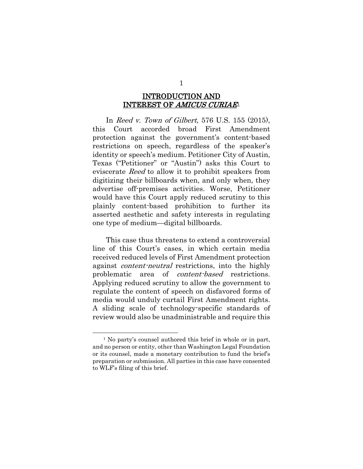#### <span id="page-7-1"></span>INTRODUCTION AND INTEREST OF AMICUS CURIAE[1](#page-7-2)

<span id="page-7-0"></span>In Reed v. Town of Gilbert, 576 U.S. 155 (2015), this Court accorded broad First Amendment protection against the government's content-based restrictions on speech, regardless of the speaker's identity or speech's medium. Petitioner City of Austin, Texas ("Petitioner" or "Austin") asks this Court to eviscerate Reed to allow it to prohibit speakers from digitizing their billboards when, and only when, they advertise off-premises activities. Worse, Petitioner would have this Court apply reduced scrutiny to this plainly content-based prohibition to further its asserted aesthetic and safety interests in regulating one type of medium—digital billboards.

This case thus threatens to extend a controversial line of this Court's cases, in which certain media received reduced levels of First Amendment protection against content-neutral restrictions, into the highly problematic area of content-based restrictions. Applying reduced scrutiny to allow the government to regulate the content of speech on disfavored forms of media would unduly curtail First Amendment rights. A sliding scale of technology-specific standards of review would also be unadministrable and require this

<span id="page-7-2"></span><sup>&</sup>lt;sup>1</sup> No party's counsel authored this brief in whole or in part, and no person or entity, other than Washington Legal Foundation or its counsel, made a monetary contribution to fund the brief's preparation or submission. All parties in this case have consented to WLF's filing of this brief.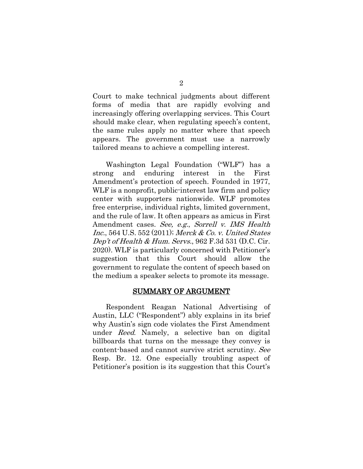Court to make technical judgments about different forms of media that are rapidly evolving and increasingly offering overlapping services. This Court should make clear, when regulating speech's content, the same rules apply no matter where that speech appears. The government must use a narrowly tailored means to achieve a compelling interest.

Washington Legal Foundation ("WLF") has a strong and enduring interest in the First Amendment's protection of speech. Founded in 1977, WLF is a nonprofit, public-interest law firm and policy center with supporters nationwide. WLF promotes free enterprise, individual rights, limited government, and the rule of law. It often appears as amicus in First Amendment cases. See, e.g., Sorrell v. IMS Health Inc., 564 U.S. 552 (2011); Merck & Co. v. United States Dep't of Health & Hum. Servs.,  $962$  F.3d 531 (D.C. Cir. 2020). WLF is particularly concerned with Petitioner's suggestion that this Court should allow the government to regulate the content of speech based on the medium a speaker selects to promote its message.

#### <span id="page-8-2"></span><span id="page-8-1"></span>SUMMARY OF ARGUMENT

<span id="page-8-0"></span>Respondent Reagan National Advertising of Austin, LLC ("Respondent") ably explains in its brief why Austin's sign code violates the First Amendment under Reed. Namely, a selective ban on digital billboards that turns on the message they convey is content-based and cannot survive strict scrutiny. See Resp. Br. 12. One especially troubling aspect of Petitioner's position is its suggestion that this Court's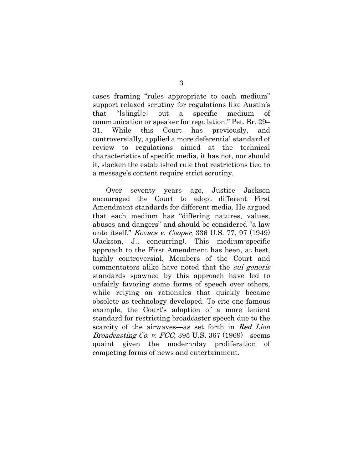cases framing "rules appropriate to each medium" support relaxed scrutiny for regulations like Austin's that "[s]ingl[e] out a specific medium of communication or speaker for regulation." Pet. Br. 29– 31. While this Court has previously, and controversially, applied a more deferential standard of review to regulations aimed at the technical characteristics of specific media, it has not, nor should it, slacken the established rule that restrictions tied to a message's content require strict scrutiny.

<span id="page-9-1"></span><span id="page-9-0"></span>Over seventy years ago, Justice Jackson encouraged the Court to adopt different First Amendment standards for different media. He argued that each medium has "differing natures, values, abuses and dangers" and should be considered "a law unto itself." Kovacs v. Cooper, 336 U.S. 77, 97 (1949) (Jackson, J., concurring). This medium-specific approach to the First Amendment has been, at best, highly controversial. Members of the Court and commentators alike have noted that the sui generis standards spawned by this approach have led to unfairly favoring some forms of speech over others, while relying on rationales that quickly became obsolete as technology developed. To cite one famous example, the Court's adoption of a more lenient standard for restricting broadcaster speech due to the scarcity of the airwaves—as set forth in Red Lion *Broadcasting Co. v. FCC*, 395 U.S. 367 (1969)—seems quaint given the modern-day proliferation of competing forms of news and entertainment.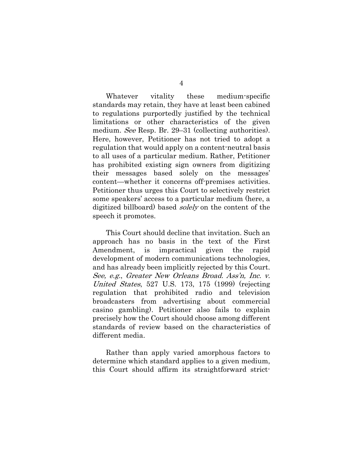Whatever vitality these medium-specific standards may retain, they have at least been cabined to regulations purportedly justified by the technical limitations or other characteristics of the given medium. See Resp. Br. 29–31 (collecting authorities). Here, however, Petitioner has not tried to adopt a regulation that would apply on a content-neutral basis to all uses of a particular medium. Rather, Petitioner has prohibited existing sign owners from digitizing their messages based solely on the messages' content—whether it concerns off-premises activities. Petitioner thus urges this Court to selectively restrict some speakers' access to a particular medium (here, a digitized billboard) based *solely* on the content of the speech it promotes.

<span id="page-10-0"></span>This Court should decline that invitation. Such an approach has no basis in the text of the First Amendment, is impractical given the rapid development of modern communications technologies, and has already been implicitly rejected by this Court. See, e.g., Greater New Orleans Broad. Ass'n, Inc. v. United States, 527 U.S. 173, 175 (1999) (rejecting regulation that prohibited radio and television broadcasters from advertising about commercial casino gambling). Petitioner also fails to explain precisely how the Court should choose among different standards of review based on the characteristics of different media.

Rather than apply varied amorphous factors to determine which standard applies to a given medium, this Court should affirm its straightforward strict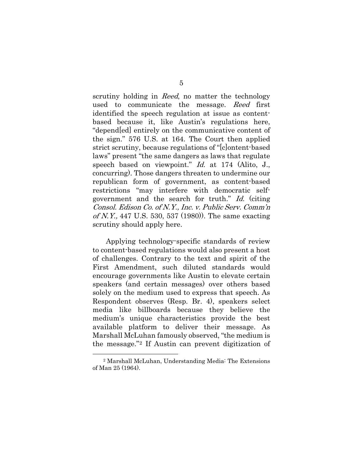scrutiny holding in *Reed*, no matter the technology used to communicate the message. Reed first identified the speech regulation at issue as contentbased because it, like Austin's regulations here, "depend[ed] entirely on the communicative content of the sign." 576 U.S. at 164. The Court then applied strict scrutiny, because regulations of "[c]ontent-based laws" present "the same dangers as laws that regulate speech based on viewpoint." Id. at 174 (Alito, J., concurring). Those dangers threaten to undermine our republican form of government, as content-based restrictions "may interfere with democratic selfgovernment and the search for truth." Id. (citing Consol. Edison Co. of N.Y., Inc. v. Public Serv. Comm'n of N.Y., 447 U.S. 530, 537 (1980)). The same exacting scrutiny should apply here.

Applying technology-specific standards of review to content-based regulations would also present a host of challenges. Contrary to the text and spirit of the First Amendment, such diluted standards would encourage governments like Austin to elevate certain speakers (and certain messages) over others based solely on the medium used to express that speech. As Respondent observes (Resp. Br. 4), speakers select media like billboards because they believe the medium's unique characteristics provide the best available platform to deliver their message. As Marshall McLuhan famously observed, "the medium is the message."[2](#page-11-0) If Austin can prevent digitization of

<span id="page-11-0"></span><sup>2</sup> Marshall McLuhan, Understanding Media: The Extensions of Man 25 (1964).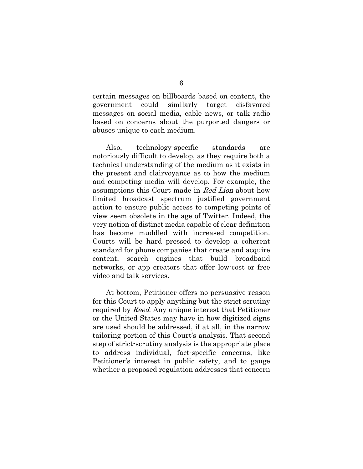certain messages on billboards based on content, the government could similarly target disfavored messages on social media, cable news, or talk radio based on concerns about the purported dangers or abuses unique to each medium.

Also, technology-specific standards are notoriously difficult to develop, as they require both a technical understanding of the medium as it exists in the present and clairvoyance as to how the medium and competing media will develop. For example, the assumptions this Court made in Red Lion about how limited broadcast spectrum justified government action to ensure public access to competing points of view seem obsolete in the age of Twitter. Indeed, the very notion of distinct media capable of clear definition has become muddled with increased competition. Courts will be hard pressed to develop a coherent standard for phone companies that create and acquire content, search engines that build broadband networks, or app creators that offer low-cost or free video and talk services.

At bottom, Petitioner offers no persuasive reason for this Court to apply anything but the strict scrutiny required by Reed. Any unique interest that Petitioner or the United States may have in how digitized signs are used should be addressed, if at all, in the narrow tailoring portion of this Court's analysis. That second step of strict-scrutiny analysis is the appropriate place to address individual, fact-specific concerns, like Petitioner's interest in public safety, and to gauge whether a proposed regulation addresses that concern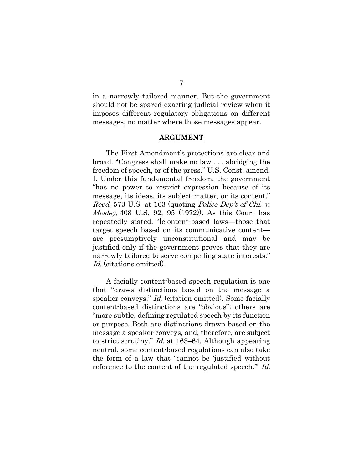in a narrowly tailored manner. But the government should not be spared exacting judicial review when it imposes different regulatory obligations on different messages, no matter where those messages appear.

#### ARGUMENT

<span id="page-13-0"></span>The First Amendment's protections are clear and broad. "Congress shall make no law . . . abridging the freedom of speech, or of the press." U.S. Const. amend. I. Under this fundamental freedom, the government "has no power to restrict expression because of its message, its ideas, its subject matter, or its content." Reed, 573 U.S. at 163 (quoting *Police Dep't of Chi. v.* Mosley, 408 U.S. 92, 95 (1972)). As this Court has repeatedly stated, "[c]ontent-based laws—those that target speech based on its communicative content are presumptively unconstitutional and may be justified only if the government proves that they are narrowly tailored to serve compelling state interests." Id. (citations omitted).

A facially content-based speech regulation is one that "draws distinctions based on the message a speaker conveys." *Id.* (citation omitted). Some facially content-based distinctions are "obvious"; others are "more subtle, defining regulated speech by its function or purpose. Both are distinctions drawn based on the message a speaker conveys, and, therefore, are subject to strict scrutiny." Id. at 163–64. Although appearing neutral, some content-based regulations can also take the form of a law that "cannot be 'justified without reference to the content of the regulated speech." Id.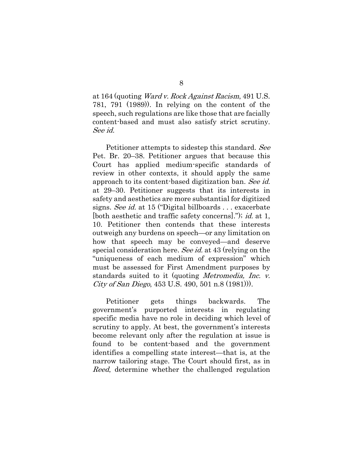at 164 (quoting Ward v. Rock Against Racism, 491 U.S. 781, 791 (1989)). In relying on the content of the speech, such regulations are like those that are facially content-based and must also satisfy strict scrutiny. See id.

Petitioner attempts to sidestep this standard. See Pet. Br. 20–38. Petitioner argues that because this Court has applied medium-specific standards of review in other contexts, it should apply the same approach to its content-based digitization ban. See id. at 29–30. Petitioner suggests that its interests in safety and aesthetics are more substantial for digitized signs. See id. at 15 ("Digital billboards . . . exacerbate [both aesthetic and traffic safety concerns]."); *id.* at 1, 10. Petitioner then contends that these interests outweigh any burdens on speech—or any limitation on how that speech may be conveyed—and deserve special consideration here. See id. at 43 (relying on the "uniqueness of each medium of expression" which must be assessed for First Amendment purposes by standards suited to it (quoting Metromedia, Inc. v. City of San Diego, 453 U.S. 490, 501 n.8 (1981))).

Petitioner gets things backwards. The government's purported interests in regulating specific media have no role in deciding which level of scrutiny to apply. At best, the government's interests become relevant only after the regulation at issue is found to be content-based and the government identifies a compelling state interest—that is, at the narrow tailoring stage. The Court should first, as in Reed, determine whether the challenged regulation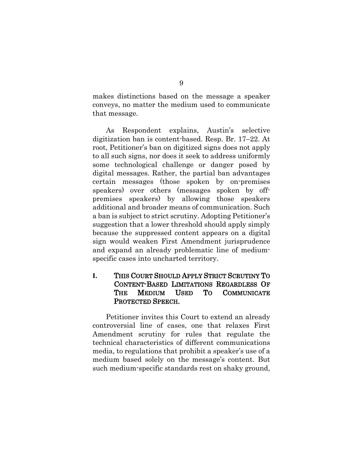makes distinctions based on the message a speaker conveys, no matter the medium used to communicate that message.

As Respondent explains, Austin's selective digitization ban is content-based. Resp. Br. 17–22. At root, Petitioner's ban on digitized signs does not apply to all such signs, nor does it seek to address uniformly some technological challenge or danger posed by digital messages. Rather, the partial ban advantages certain messages (those spoken by on-premises speakers) over others (messages spoken by offpremises speakers) by allowing those speakers additional and broader means of communication. Such a ban is subject to strict scrutiny. Adopting Petitioner's suggestion that a lower threshold should apply simply because the suppressed content appears on a digital sign would weaken First Amendment jurisprudence and expand an already problematic line of mediumspecific cases into uncharted territory.

## <span id="page-15-0"></span>**I.** THIS COURT SHOULD APPLY STRICT SCRUTINY TO CONTENT-BASED LIMITATIONS REGARDLESS OF THE MEDIUM USED TO COMMUNICATE PROTECTED SPEECH.

Petitioner invites this Court to extend an already controversial line of cases, one that relaxes First Amendment scrutiny for rules that regulate the technical characteristics of different communications media, to regulations that prohibit a speaker's use of a medium based solely on the message's content. But such medium-specific standards rest on shaky ground,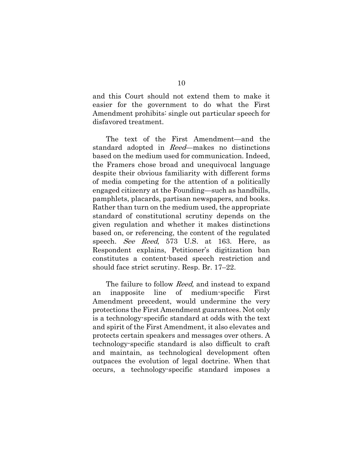and this Court should not extend them to make it easier for the government to do what the First Amendment prohibits: single out particular speech for disfavored treatment.

The text of the First Amendment—and the standard adopted in Reed—makes no distinctions based on the medium used for communication. Indeed, the Framers chose broad and unequivocal language despite their obvious familiarity with different forms of media competing for the attention of a politically engaged citizenry at the Founding—such as handbills, pamphlets, placards, partisan newspapers, and books. Rather than turn on the medium used, the appropriate standard of constitutional scrutiny depends on the given regulation and whether it makes distinctions based on, or referencing, the content of the regulated speech. *See Reed*, 573 U.S. at 163. Here, as Respondent explains, Petitioner's digitization ban constitutes a content-based speech restriction and should face strict scrutiny. Resp. Br. 17–22.

The failure to follow *Reed*, and instead to expand an inapposite line of medium-specific First Amendment precedent, would undermine the very protections the First Amendment guarantees. Not only is a technology-specific standard at odds with the text and spirit of the First Amendment, it also elevates and protects certain speakers and messages over others. A technology-specific standard is also difficult to craft and maintain, as technological development often outpaces the evolution of legal doctrine. When that occurs, a technology-specific standard imposes a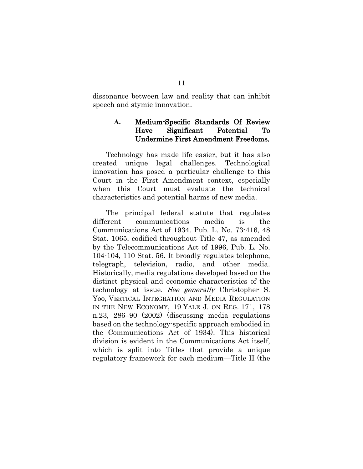dissonance between law and reality that can inhibit speech and stymie innovation.

## <span id="page-17-0"></span>**A.** Medium-Specific Standards Of Review Have Significant Potential To Undermine First Amendment Freedoms.

Technology has made life easier, but it has also created unique legal challenges. Technological innovation has posed a particular challenge to this Court in the First Amendment context, especially when this Court must evaluate the technical characteristics and potential harms of new media.

<span id="page-17-2"></span><span id="page-17-1"></span>The principal federal statute that regulates different communications media is the Communications Act of 1934. Pub. L. No. 73-416, 48 Stat. 1065, codified throughout Title 47, as amended by the Telecommunications Act of 1996, Pub. L. No. 104-104, 110 Stat. 56. It broadly regulates telephone, telegraph, television, radio, and other media. Historically, media regulations developed based on the distinct physical and economic characteristics of the technology at issue. See generally Christopher S. Yoo, VERTICAL INTEGRATION AND MEDIA REGULATION IN THE NEW ECONOMY, 19 YALE J. ON REG. 171, 178 n.23, 286–90 (2002) (discussing media regulations based on the technology-specific approach embodied in the Communications Act of 1934). This historical division is evident in the Communications Act itself, which is split into Titles that provide a unique regulatory framework for each medium—Title II (the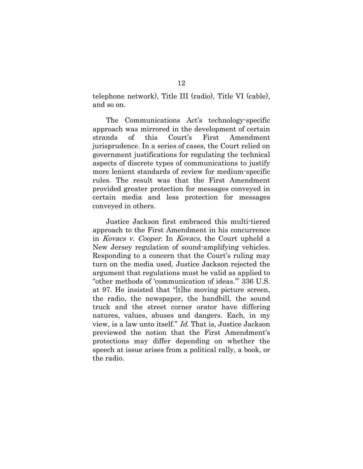telephone network), Title III (radio), Title VI (cable), and so on.

The Communications Act's technology-specific approach was mirrored in the development of certain strands of this Court's First Amendment jurisprudence. In a series of cases, the Court relied on government justifications for regulating the technical aspects of discrete types of communications to justify more lenient standards of review for medium-specific rules. The result was that the First Amendment provided greater protection for messages conveyed in certain media and less protection for messages conveyed in others.

<span id="page-18-0"></span>Justice Jackson first embraced this multi-tiered approach to the First Amendment in his concurrence in Kovacs v. Cooper. In Kovacs, the Court upheld a New Jersey regulation of sound-amplifying vehicles. Responding to a concern that the Court's ruling may turn on the media used, Justice Jackson rejected the argument that regulations must be valid as applied to "other methods of 'communication of ideas.'" 336 U.S. at 97. He insisted that "[t]he moving picture screen, the radio, the newspaper, the handbill, the sound truck and the street corner orator have differing natures, values, abuses and dangers. Each, in my view, is a law unto itself." Id. That is, Justice Jackson previewed the notion that the First Amendment's protections may differ depending on whether the speech at issue arises from a political rally, a book, or the radio.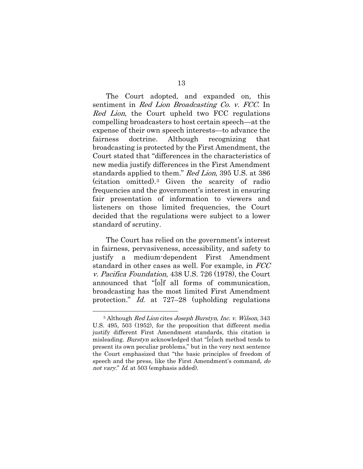The Court adopted, and expanded on, this sentiment in Red Lion Broadcasting Co. v. FCC. In Red Lion, the Court upheld two FCC regulations compelling broadcasters to host certain speech—at the expense of their own speech interests—to advance the fairness doctrine. Although recognizing that broadcasting is protected by the First Amendment, the Court stated that "differences in the characteristics of new media justify differences in the First Amendment standards applied to them." Red Lion, 395 U.S. at 386 (citation omitted).[3](#page-19-0) Given the scarcity of radio frequencies and the government's interest in ensuring fair presentation of information to viewers and listeners on those limited frequencies, the Court decided that the regulations were subject to a lower standard of scrutiny.

The Court has relied on the government's interest in fairness, pervasiveness, accessibility, and safety to justify a medium-dependent First Amendment standard in other cases as well. For example, in FCC v. Pacifica Foundation, 438 U.S. 726 (1978), the Court announced that "[o]f all forms of communication, broadcasting has the most limited First Amendment protection." Id. at 727–28 (upholding regulations

<span id="page-19-0"></span><sup>&</sup>lt;sup>3</sup> Although *Red Lion* cites *Joseph Burstyn, Inc. v. Wilson*, 343 U.S. 495, 503 (1952), for the proposition that different media justify different First Amendment standards, this citation is misleading. Burstyn acknowledged that "[e]ach method tends to present its own peculiar problems," but in the very next sentence the Court emphasized that "the basic principles of freedom of speech and the press, like the First Amendment's command, do not vary." Id. at 503 (emphasis added).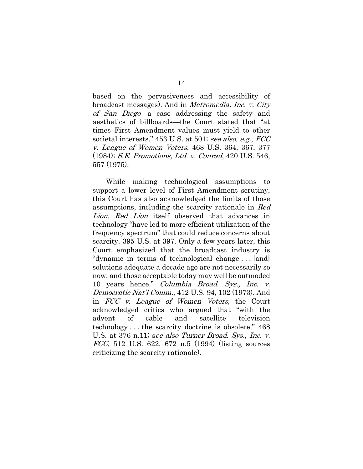<span id="page-20-1"></span><span id="page-20-0"></span>based on the pervasiveness and accessibility of broadcast messages). And in Metromedia, Inc. v. City of San Diego—a case addressing the safety and aesthetics of billboards—the Court stated that "at times First Amendment values must yield to other societal interests." 453 U.S. at 501; see also, e.g., FCC v. League of Women Voters, 468 U.S. 364, 367, 377 (1984); S.E. Promotions, Ltd. v. Conrad, 420 U.S. 546, 557 (1975).

<span id="page-20-2"></span>While making technological assumptions to support a lower level of First Amendment scrutiny, this Court has also acknowledged the limits of those assumptions, including the scarcity rationale in Red Lion. Red Lion itself observed that advances in technology "have led to more efficient utilization of the frequency spectrum" that could reduce concerns about scarcity. 395 U.S. at 397. Only a few years later, this Court emphasized that the broadcast industry is "dynamic in terms of technological change . . . [and] solutions adequate a decade ago are not necessarily so now, and those acceptable today may well be outmoded 10 years hence." Columbia Broad. Sys., Inc. v. Democratic Nat'l Comm., 412 U.S. 94, 102 (1973). And in FCC v. League of Women Voters, the Court acknowledged critics who argued that "with the advent of cable and satellite television technology . . . the scarcity doctrine is obsolete." 468 U.S. at 376 n.11; see also Turner Broad. Sys., Inc. v. FCC, 512 U.S. 622, 672 n.5 (1994) (listing sources criticizing the scarcity rationale).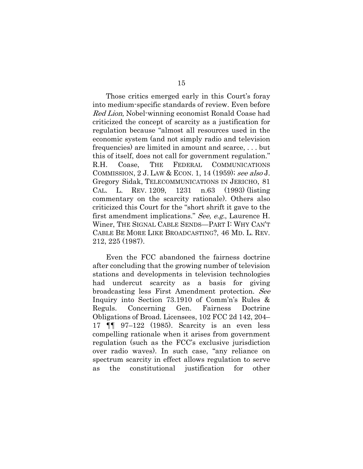<span id="page-21-1"></span>Those critics emerged early in this Court's foray into medium-specific standards of review. Even before Red Lion, Nobel-winning economist Ronald Coase had criticized the concept of scarcity as a justification for regulation because "almost all resources used in the economic system (and not simply radio and television frequencies) are limited in amount and scarce, . . . but this of itself, does not call for government regulation." R.H. Coase, THE FEDERAL COMMUNICATIONS COMMISSION, 2 J. LAW & ECON. 1, 14 (1959); see also J. Gregory Sidak, [TELECOMMUNICATIONS](https://1.next.westlaw.com/Link/Document/FullText?findType=Y&serNum=0103293261&pubNum=1107&originatingDoc=I3c7a4f4149f711db99a18fc28eb0d9ae&refType=LR&fi=co_pp_sp_1107_1231&originationContext=document&transitionType=DocumentItem&ppcid=7078af7cb8d346e89a939cdb9a2d279c&contextData=(sc.Folder*cid.364b731103864c7fb1856ba91d9ce6e4*oc.UserEnteredCitation)#co_pp_sp_1107_1231) IN JERICHO, 81 CAL. L. REV. 1209, 1231 n.63 [\(1993\)](https://1.next.westlaw.com/Link/Document/FullText?findType=Y&serNum=0103293261&pubNum=1107&originatingDoc=I3c7a4f4149f711db99a18fc28eb0d9ae&refType=LR&fi=co_pp_sp_1107_1231&originationContext=document&transitionType=DocumentItem&ppcid=7078af7cb8d346e89a939cdb9a2d279c&contextData=(sc.Folder*cid.364b731103864c7fb1856ba91d9ce6e4*oc.UserEnteredCitation)#co_pp_sp_1107_1231) (listing commentary on the scarcity rationale). Others also criticized this Court for the "short shrift it gave to the first amendment implications." See, e.g., Laurence H. Winer, THE SIGNAL CABLE SENDS—PART I: WHY CAN'T CABLE BE MORE LIKE BROADCASTING?, 46 MD. L. REV. 212, 225 (1987).

<span id="page-21-2"></span><span id="page-21-0"></span>Even the FCC abandoned the fairness doctrine after concluding that the growing number of television stations and developments in television technologies had undercut scarcity as a basis for giving broadcasting less First Amendment protection. See Inquiry into Section 73.1910 of Comm'n's Rules & Reguls. Concerning Gen. Fairness Doctrine Obligations of Broad. Licensees, 102 FCC 2d 142, 204– 17 ¶¶ 97–122 (1985). Scarcity is an even less compelling rationale when it arises from government regulation (such as the FCC's exclusive jurisdiction over radio waves). In such case, "any reliance on spectrum scarcity in effect allows regulation to serve as the constitutional justification for other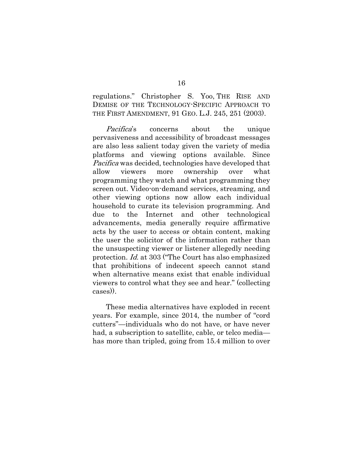<span id="page-22-0"></span>regulations." Christopher S. Yoo, THE RISE AND DEMISE OF THE TECHNOLOGY-SPECIFIC APPROACH TO THE FIRST AMENDMENT, 91 GEO. L.J. 245, 251 (2003).

Pacifica's concerns about the unique pervasiveness and accessibility of broadcast messages are also less salient today given the variety of media platforms and viewing options available. Since Pacifica was decided, technologies have developed that allow viewers more ownership over what programming they watch and what programming they screen out. Video-on-demand services, streaming, and other viewing options now allow each individual household to curate its television programming. And due to the Internet and other technological advancements, media generally require affirmative acts by the user to access or obtain content, making the user the solicitor of the information rather than the unsuspecting viewer or listener allegedly needing protection. Id. at 303 ("The Court has also emphasized that prohibitions of indecent speech cannot stand when alternative means exist that enable individual viewers to control what they see and hear." (collecting cases)).

These media alternatives have exploded in recent years. For example, since 2014, the number of "cord cutters"—individuals who do not have, or have never had, a subscription to satellite, cable, or telco media has more than tripled, going from 15.4 million to over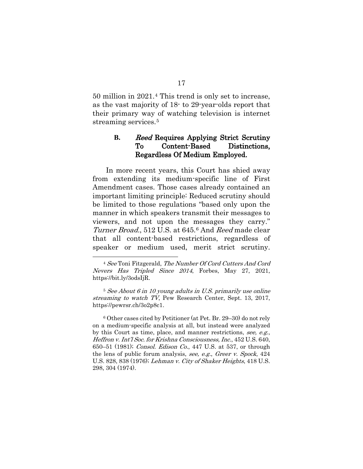50 million in 2021.[4](#page-23-2) This trend is only set to increase, as the vast majority of 18- to 29-year-olds report that their primary way of watching television is internet streaming services.[5](#page-23-3)

## <span id="page-23-0"></span>**B.** Reed Requires Applying Strict Scrutiny To Content-Based Distinctions, Regardless Of Medium Employed.

In more recent years, this Court has shied away from extending its medium-specific line of First Amendment cases. Those cases already contained an important limiting principle: Reduced scrutiny should be limited to those regulations "based only upon the manner in which speakers transmit their messages to viewers, and not upon the messages they carry." Turner Broad., 512 U.S. at [6](#page-23-4)45.<sup>6</sup> And Reed made clear that all content-based restrictions, regardless of speaker or medium used, merit strict scrutiny.

<span id="page-23-4"></span><sup>6</sup> Other cases cited by Petitioner (at Pet. Br. 29–30) do not rely on a medium-specific analysis at all, but instead were analyzed by this Court as time, place, and manner restrictions, see, e.g., Heffron v. Int'l Soc. for Krishna Consciousness, Inc., 452 U.S. 640, 650–51 (1981); Consol. Edison Co., 447 U.S. at 537, or through the lens of public forum analysis, see, e.g., Greer v. Spock, 424 U.S. 828, 838 (1976); Lehman v. City of Shaker Heights, 418 U.S. 298, 304 (1974).

<span id="page-23-2"></span><span id="page-23-1"></span><sup>&</sup>lt;sup>4</sup> See Toni Fitzgerald, The Number Of Cord Cutters And Cord Nevers Has Tripled Since 2014, Forbes, May 27, 2021, https://bit.ly/3odsIjR.

<span id="page-23-3"></span><sup>5</sup> See About 6 in 10 young adults in U.S. primarily use online streaming to watch TV, Pew Research Center, Sept. 13, 2017, https://pewrsr.ch/3o2p8c1.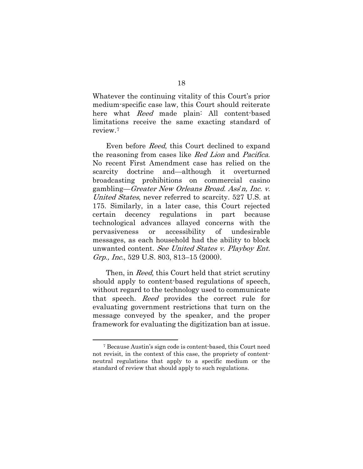Whatever the continuing vitality of this Court's prior medium-specific case law, this Court should reiterate here what *Reed* made plain: All content-based limitations receive the same exacting standard of review.[7](#page-24-1)

<span id="page-24-0"></span>Even before Reed, this Court declined to expand the reasoning from cases like Red Lion and Pacifica. No recent First Amendment case has relied on the scarcity doctrine and—although it overturned broadcasting prohibitions on commercial casino gambling—Greater New Orleans Broad. Ass'n, Inc. v. United States, never referred to scarcity. 527 U.S. at 175. Similarly, in a later case, this Court rejected certain decency regulations in part because technological advances allayed concerns with the pervasiveness or accessibility of undesirable messages, as each household had the ability to block unwanted content. See United States v. Playboy Ent. Grp., Inc., 529 U.S. 803, 813–15 (2000).

Then, in *Reed*, this Court held that strict scrutiny should apply to content-based regulations of speech, without regard to the technology used to communicate that speech. Reed provides the correct rule for evaluating government restrictions that turn on the message conveyed by the speaker, and the proper framework for evaluating the digitization ban at issue.

<span id="page-24-1"></span><sup>7</sup> Because Austin's sign code is content-based, this Court need not revisit, in the context of this case, the propriety of contentneutral regulations that apply to a specific medium or the standard of review that should apply to such regulations.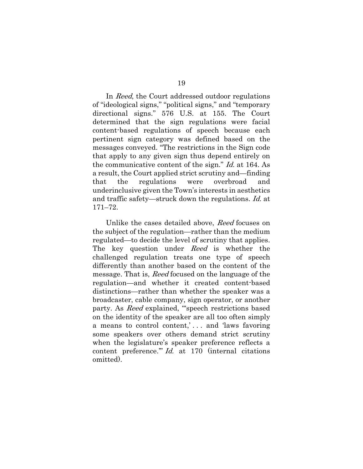In Reed, the Court addressed outdoor regulations of "ideological signs," "political signs," and "temporary directional signs." 576 U.S. at 155. The Court determined that the sign regulations were facial content-based regulations of speech because each pertinent sign category was defined based on the messages conveyed. "The restrictions in the Sign code that apply to any given sign thus depend entirely on the communicative content of the sign." Id. at 164. As a result, the Court applied strict scrutiny and—finding that the regulations were overbroad and underinclusive given the Town's interests in aesthetics and traffic safety—struck down the regulations. Id. at 171–72.

Unlike the cases detailed above, Reed focuses on the subject of the regulation—rather than the medium regulated—to decide the level of scrutiny that applies. The key question under Reed is whether the challenged regulation treats one type of speech differently than another based on the content of the message. That is, Reed focused on the language of the regulation—and whether it created content-based distinctions—rather than whether the speaker was a broadcaster, cable company, sign operator, or another party. As Reed explained, "'speech restrictions based on the identity of the speaker are all too often simply a means to control content,' . . . and 'laws favoring some speakers over others demand strict scrutiny when the legislature's speaker preference reflects a content preference.'" Id. at 170 (internal citations omitted).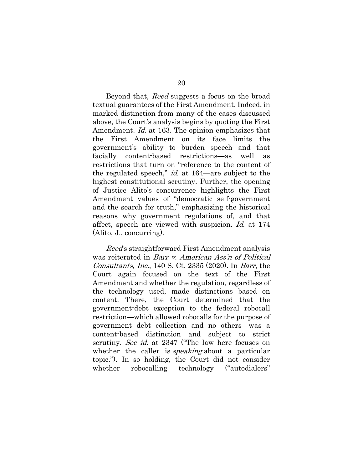Beyond that, Reed suggests a focus on the broad textual guarantees of the First Amendment. Indeed, in marked distinction from many of the cases discussed above, the Court's analysis begins by quoting the First Amendment. Id. at 163. The opinion emphasizes that the First Amendment on its face limits the government's ability to burden speech and that facially content-based restrictions—as well as restrictions that turn on "reference to the content of the regulated speech," id. at 164—are subject to the highest constitutional scrutiny. Further, the opening of Justice Alito's concurrence highlights the First Amendment values of "democratic self-government and the search for truth," emphasizing the historical reasons why government regulations of, and that affect, speech are viewed with suspicion. Id. at 174 (Alito, J., concurring).

<span id="page-26-0"></span>Reed's straightforward First Amendment analysis was reiterated in Barr v. American Ass'n of Political Consultants, Inc., 140 S. Ct. 2335 (2020). In Barr, the Court again focused on the text of the First Amendment and whether the regulation, regardless of the technology used, made distinctions based on content. There, the Court determined that the government-debt exception to the federal robocall restriction—which allowed robocalls for the purpose of government debt collection and no others—was a content-based distinction and subject to strict scrutiny. *See id.* at 2347 ("The law here focuses on whether the caller is *speaking* about a particular topic."). In so holding, the Court did not consider whether robocalling technology ("autodialers"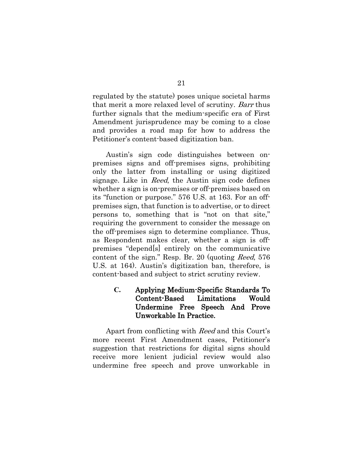regulated by the statute) poses unique societal harms that merit a more relaxed level of scrutiny. Barr thus further signals that the medium-specific era of First Amendment jurisprudence may be coming to a close and provides a road map for how to address the Petitioner's content-based digitization ban.

Austin's sign code distinguishes between onpremises signs and off-premises signs, prohibiting only the latter from installing or using digitized signage. Like in Reed, the Austin sign code defines whether a sign is on-premises or off-premises based on its "function or purpose." 576 U.S. at 163. For an offpremises sign, that function is to advertise, or to direct persons to, something that is "not on that site," requiring the government to consider the message on the off-premises sign to determine compliance. Thus, as Respondent makes clear, whether a sign is offpremises "depend[s] entirely on the communicative content of the sign." Resp. Br. 20 (quoting Reed, 576 U.S. at 164). Austin's digitization ban, therefore, is content-based and subject to strict scrutiny review.

## <span id="page-27-0"></span>**C.** Applying Medium-Specific Standards To Content-Based Limitations Would Undermine Free Speech And Prove Unworkable In Practice.

Apart from conflicting with Reed and this Court's more recent First Amendment cases, Petitioner's suggestion that restrictions for digital signs should receive more lenient judicial review would also undermine free speech and prove unworkable in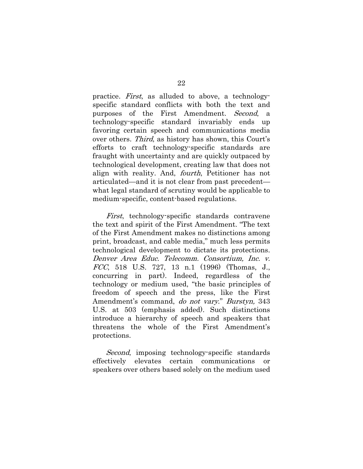practice. First, as alluded to above, a technologyspecific standard conflicts with both the text and purposes of the First Amendment. Second, a technology-specific standard invariably ends up favoring certain speech and communications media over others. Third, as history has shown, this Court's efforts to craft technology-specific standards are fraught with uncertainty and are quickly outpaced by technological development, creating law that does not align with reality. And, fourth, Petitioner has not articulated—and it is not clear from past precedent what legal standard of scrutiny would be applicable to medium-specific, content-based regulations.

First, technology-specific standards contravene the text and spirit of the First Amendment. "The text of the First Amendment makes no distinctions among print, broadcast, and cable media," much less permits technological development to dictate its protections. Denver Area Educ. Telecomm. Consortium, Inc. v. FCC, 518 U.S. 727, 13 n.1 (1996) (Thomas, J., concurring in part). Indeed, regardless of the technology or medium used, "the basic principles of freedom of speech and the press, like the First Amendment's command, do not vary." Burstyn, 343 U.S. at 503 (emphasis added). Such distinctions introduce a hierarchy of speech and speakers that threatens the whole of the First Amendment's protections.

Second, imposing technology-specific standards effectively elevates certain communications or speakers over others based solely on the medium used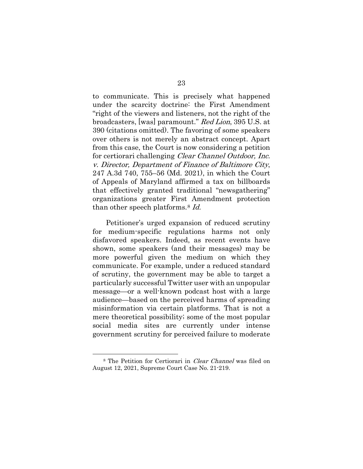to communicate. This is precisely what happened under the scarcity doctrine: the First Amendment "right of the viewers and listeners, not the right of the broadcasters, [was] paramount." Red Lion, 395 U.S. at 390 (citations omitted). The favoring of some speakers over others is not merely an abstract concept. Apart from this case, the Court is now considering a petition for certiorari challenging Clear Channel Outdoor, Inc. v. Director, Department of Finance of Baltimore City, 247 A.3d 740, 755–56 (Md. 2021), in which the Court of Appeals of Maryland affirmed a tax on billboards that effectively granted traditional "newsgathering" organizations greater First Amendment protection than other speech platforms.[8](#page-29-0) Id.

Petitioner's urged expansion of reduced scrutiny for medium-specific regulations harms not only disfavored speakers. Indeed, as recent events have shown, some speakers (and their messages) may be more powerful given the medium on which they communicate. For example, under a reduced standard of scrutiny, the government may be able to target a particularly successful Twitter user with an unpopular message—or a well-known podcast host with a large audience—based on the perceived harms of spreading misinformation via certain platforms. That is not a mere theoretical possibility; some of the most popular social media sites are currently under intense government scrutiny for perceived failure to moderate

<span id="page-29-0"></span><sup>8</sup> The Petition for Certiorari in Clear Channel was filed on August 12, 2021, Supreme Court Case No. 21-219.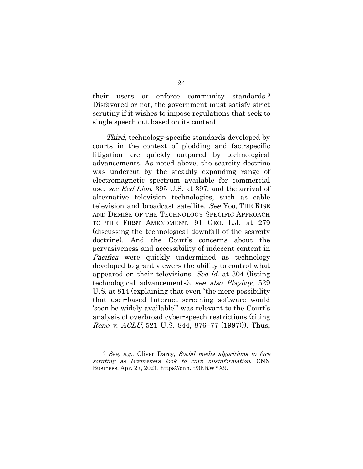their users or enforce community standards.[9](#page-30-0) Disfavored or not, the government must satisfy strict scrutiny if it wishes to impose regulations that seek to single speech out based on its content.

Third, technology-specific standards developed by courts in the context of plodding and fact-specific litigation are quickly outpaced by technological advancements. As noted above, the scarcity doctrine was undercut by the steadily expanding range of electromagnetic spectrum available for commercial use, see Red Lion, 395 U.S. at 397, and the arrival of alternative television technologies, such as cable television and broadcast satellite. See Yoo, THE RISE AND DEMISE OF THE TECHNOLOGY-SPECIFIC APPROACH TO THE FIRST AMENDMENT, 91 GEO. L.J. at 279 (discussing the technological downfall of the scarcity doctrine). And the Court's concerns about the pervasiveness and accessibility of indecent content in Pacifica were quickly undermined as technology developed to grant viewers the ability to control what appeared on their televisions. See id. at 304 (listing technological advancements); see also Playboy, 529 U.S. at 814 (explaining that even "the mere possibility that user-based Internet screening software would 'soon be widely available'" was relevant to the Court's analysis of overbroad cyber-speech restrictions (citing Reno v. ACLU, 521 U.S. 844, 876–77 (1997)). Thus,

<span id="page-30-0"></span><sup>&</sup>lt;sup>9</sup> See, e.g., Oliver Darcy, Social media algorithms to face scrutiny as lawmakers look to curb misinformation, CNN Business, Apr. 27, 2021, https://cnn.it/3ERWYX9.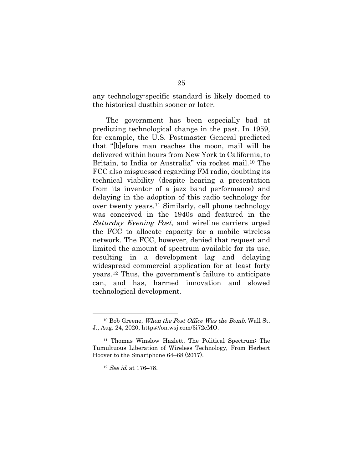any technology-specific standard is likely doomed to the historical dustbin sooner or later.

The government has been especially bad at predicting technological change in the past. In 1959, for example, the U.S. Postmaster General predicted that "[b]efore man reaches the moon, mail will be delivered within hours from New York to California, to Britain, to India or Australia" via rocket mail.<sup>[10](#page-31-0)</sup> The FCC also misguessed regarding FM radio, doubting its technical viability (despite hearing a presentation from its inventor of a jazz band performance) and delaying in the adoption of this radio technology for over twenty years.[11](#page-31-1) Similarly, cell phone technology was conceived in the 1940s and featured in the Saturday Evening Post, and wireline carriers urged the FCC to allocate capacity for a mobile wireless network. The FCC, however, denied that request and limited the amount of spectrum available for its use, resulting in a development lag and delaying widespread commercial application for at least forty years.[12](#page-31-2) Thus, the government's failure to anticipate can, and has, harmed innovation and slowed technological development.

<span id="page-31-0"></span><sup>&</sup>lt;sup>10</sup> Bob Greene, When the Post Office Was the Bomb, Wall St. J., Aug. 24, 2020, https://on.wsj.com/3i72eMO.

<span id="page-31-2"></span><span id="page-31-1"></span><sup>11</sup> Thomas Winslow Hazlett, The Political Spectrum: The Tumultuous Liberation of Wireless Technology, From Herbert Hoover to the Smartphone 64–68 (2017).

<sup>12</sup> See id. at 176–78.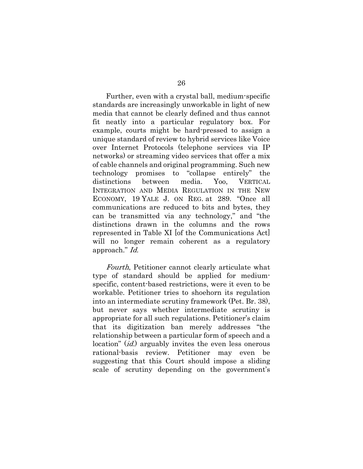Further, even with a crystal ball, medium-specific standards are increasingly unworkable in light of new media that cannot be clearly defined and thus cannot fit neatly into a particular regulatory box. For example, courts might be hard-pressed to assign a unique standard of review to hybrid services like Voice over Internet Protocols (telephone services via IP networks) or streaming video services that offer a mix of cable channels and original programming. Such new technology promises to "collapse entirely" the distinctions between media. Yoo, VERTICAL INTEGRATION AND MEDIA REGULATION IN THE NEW ECONOMY, 19 YALE J. ON REG. at 289. "Once all communications are reduced to bits and bytes, they can be transmitted via any technology," and "the distinctions drawn in the columns and the rows represented in Table XI [of the Communications Act] will no longer remain coherent as a regulatory approach." Id.

Fourth, Petitioner cannot clearly articulate what type of standard should be applied for mediumspecific, content-based restrictions, were it even to be workable. Petitioner tries to shoehorn its regulation into an intermediate scrutiny framework (Pet. Br. 38), but never says whether intermediate scrutiny is appropriate for all such regulations. Petitioner's claim that its digitization ban merely addresses "the relationship between a particular form of speech and a location" (*id.*) arguably invites the even less onerous rational-basis review. Petitioner may even be suggesting that this Court should impose a sliding scale of scrutiny depending on the government's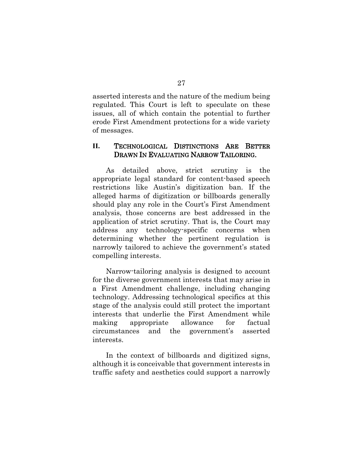asserted interests and the nature of the medium being regulated. This Court is left to speculate on these issues, all of which contain the potential to further erode First Amendment protections for a wide variety of messages.

#### <span id="page-33-0"></span>**II.** TECHNOLOGICAL DISTINCTIONS ARE BETTER DRAWN IN EVALUATING NARROW TAILORING.

As detailed above, strict scrutiny is the appropriate legal standard for content-based speech restrictions like Austin's digitization ban. If the alleged harms of digitization or billboards generally should play any role in the Court's First Amendment analysis, those concerns are best addressed in the application of strict scrutiny. That is, the Court may address any technology-specific concerns when determining whether the pertinent regulation is narrowly tailored to achieve the government's stated compelling interests.

Narrow-tailoring analysis is designed to account for the diverse government interests that may arise in a First Amendment challenge, including changing technology. Addressing technological specifics at this stage of the analysis could still protect the important interests that underlie the First Amendment while making appropriate allowance for factual circumstances and the government's asserted interests.

In the context of billboards and digitized signs, although it is conceivable that government interests in traffic safety and aesthetics could support a narrowly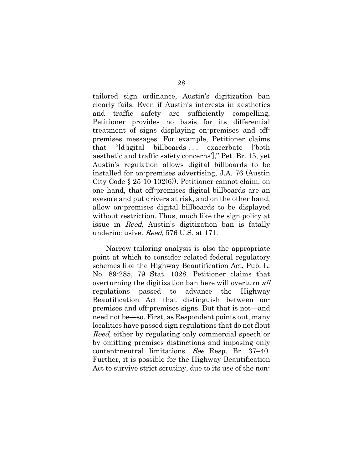<span id="page-34-0"></span>tailored sign ordinance, Austin's digitization ban clearly fails. Even if Austin's interests in aesthetics and traffic safety are sufficiently compelling, Petitioner provides no basis for its differential treatment of signs displaying on-premises and offpremises messages. For example, Petitioner claims that "[d]igital billboards . . . exacerbate ['both aesthetic and traffic safety concerns']," Pet. Br. 15, yet Austin's regulation allows digital billboards to be installed for on-premises advertising, J.A. 76 (Austin City Code § 25-10-102(6)). Petitioner cannot claim, on one hand, that off-premises digital billboards are an eyesore and put drivers at risk, and on the other hand, allow on-premises digital billboards to be displayed without restriction. Thus, much like the sign policy at issue in Reed, Austin's digitization ban is fatally underinclusive. Reed, 576 U.S. at 171.

Narrow-tailoring analysis is also the appropriate point at which to consider related federal regulatory schemes like the Highway Beautification Act, Pub. L. No. 89-285, 79 Stat. 1028. Petitioner claims that overturning the digitization ban here will overturn all regulations passed to advance the Highway Beautification Act that distinguish between onpremises and off-premises signs. But that is not—and need not be—so. First, as Respondent points out, many localities have passed sign regulations that do not flout Reed, either by regulating only commercial speech or by omitting premises distinctions and imposing only content-neutral limitations. See Resp. Br. 37–40. Further, it is possible for the Highway Beautification Act to survive strict scrutiny, due to its use of the non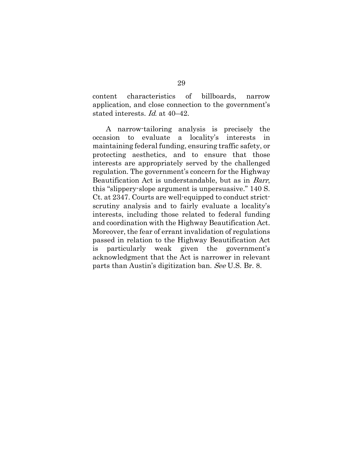content characteristics of billboards, narrow application, and close connection to the government's stated interests. Id. at 40–42.

A narrow-tailoring analysis is precisely the occasion to evaluate a locality's interests in maintaining federal funding, ensuring traffic safety, or protecting aesthetics, and to ensure that those interests are appropriately served by the challenged regulation. The government's concern for the Highway Beautification Act is understandable, but as in Barr, this "slippery-slope argument is unpersuasive." 140 S. Ct. at 2347. Courts are well-equipped to conduct strictscrutiny analysis and to fairly evaluate a locality's interests, including those related to federal funding and coordination with the Highway Beautification Act. Moreover, the fear of errant invalidation of regulations passed in relation to the Highway Beautification Act is particularly weak given the government's acknowledgment that the Act is narrower in relevant parts than Austin's digitization ban. See U.S. Br. 8.